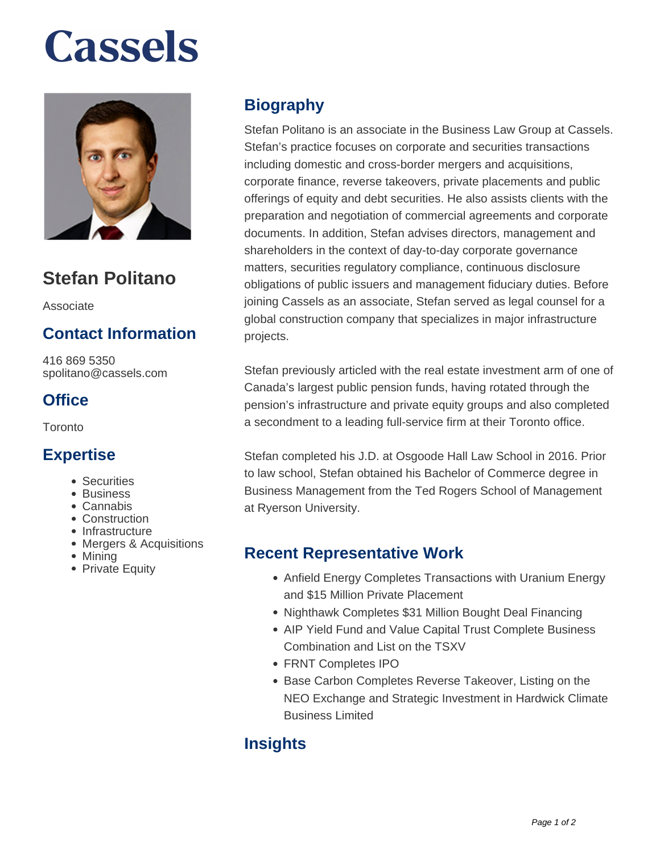# **Cassels**



### **Stefan Politano**

Associate

#### **Contact Information**

416 869 5350 spolitano@cassels.com

#### **Office**

**Toronto** 

#### **Expertise**

- Securities
- Business
- Cannabis
- Construction
- Infrastructure
- Mergers & Acquisitions
- Mining
- Private Equity

#### **Biography**

Stefan Politano is an associate in the Business Law Group at Cassels. Stefan's practice focuses on corporate and securities transactions including domestic and cross-border mergers and acquisitions, corporate finance, reverse takeovers, private placements and public offerings of equity and debt securities. He also assists clients with the preparation and negotiation of commercial agreements and corporate documents. In addition, Stefan advises directors, management and shareholders in the context of day-to-day corporate governance matters, securities regulatory compliance, continuous disclosure obligations of public issuers and management fiduciary duties. Before joining Cassels as an associate, Stefan served as legal counsel for a global construction company that specializes in major infrastructure projects.

Stefan previously articled with the real estate investment arm of one of Canada's largest public pension funds, having rotated through the pension's infrastructure and private equity groups and also completed a secondment to a leading full-service firm at their Toronto office.

Stefan completed his J.D. at Osgoode Hall Law School in 2016. Prior to law school, Stefan obtained his Bachelor of Commerce degree in Business Management from the Ted Rogers School of Management at Ryerson University.

#### **Recent Representative Work**

- Anfield Energy Completes Transactions with Uranium Energy and \$15 Million Private Placement
- Nighthawk Completes \$31 Million Bought Deal Financing
- AIP Yield Fund and Value Capital Trust Complete Business Combination and List on the TSXV
- FRNT Completes IPO
- **Base Carbon Completes Reverse Takeover, Listing on the** NEO Exchange and Strategic Investment in Hardwick Climate Business Limited

#### **Insights**